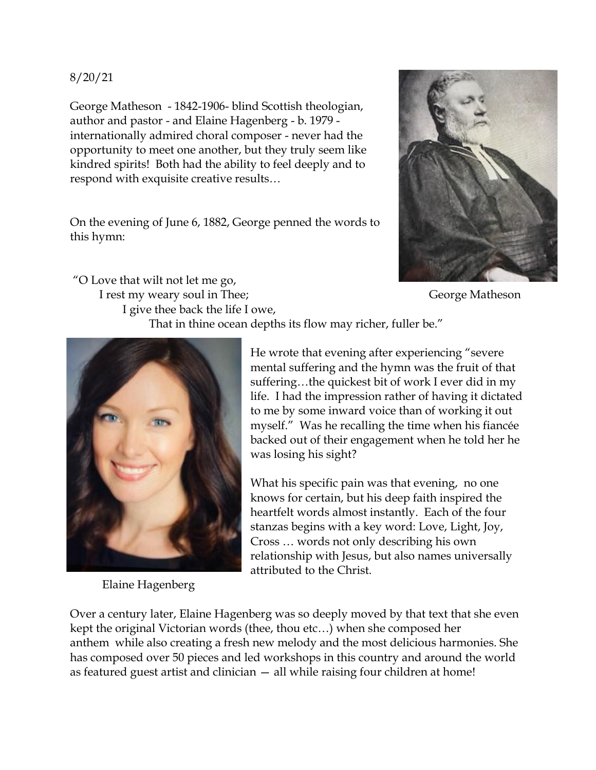## 8/20/21

George Matheson - 1842-1906- blind Scottish theologian, author and pastor - and Elaine Hagenberg - b. 1979 internationally admired choral composer - never had the opportunity to meet one another, but they truly seem like kindred spirits! Both had the ability to feel deeply and to respond with exquisite creative results…

On the evening of June 6, 1882, George penned the words to this hymn:

"O Love that wilt not let me go, I rest my weary soul in Thee; Soul Secrets Assessment Control of the George Matheson I give thee back the life I owe,

That in thine ocean depths its flow may richer, fuller be."



Elaine Hagenberg

He wrote that evening after experiencing "severe mental suffering and the hymn was the fruit of that suffering…the quickest bit of work I ever did in my life. I had the impression rather of having it dictated to me by some inward voice than of working it out myself." Was he recalling the time when his fiancée backed out of their engagement when he told her he was losing his sight?

What his specific pain was that evening, no one knows for certain, but his deep faith inspired the heartfelt words almost instantly. Each of the four stanzas begins with a key word: Love, Light, Joy, Cross … words not only describing his own relationship with Jesus, but also names universally attributed to the Christ.

Over a century later, Elaine Hagenberg was so deeply moved by that text that she even kept the original Victorian words (thee, thou etc…) when she composed her anthem while also creating a fresh new melody and the most delicious harmonies. She has composed over 50 pieces and led workshops in this country and around the world as featured guest artist and clinician — all while raising four children at home!